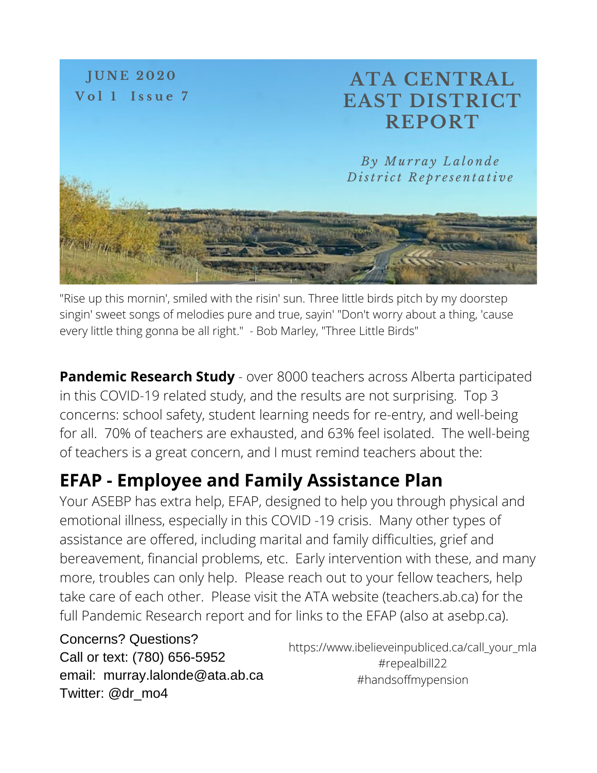

"Rise up this mornin', smiled with the risin' sun. Three little birds pitch by my doorstep singin' sweet songs of melodies pure and true, sayin' "Don't worry about a thing, 'cause every little thing gonna be all right." - Bob Marley, "Three Little Birds"

**Pandemic Research Study** - over 8000 teachers across Alberta participated in this COVID-19 related study, and the results are not surprising. Top 3 concerns: school safety, student learning needs for re-entry, and well-being for all. 70% of teachers are exhausted, and 63% feel isolated. The well-being of teachers is a great concern, and I must remind teachers about the:

### **EFAP - Employee and Family Assistance Plan**

Your ASEBP has extra help, EFAP, designed to help you through physical and emotional illness, especially in this COVID -19 crisis. Many other types of assistance are offered, including marital and family difficulties, grief and bereavement, financial problems, etc. Early intervention with these, and many more, troubles can only help. Please reach out to your fellow teachers, help take care of each other. Please visit the ATA website (teachers.ab.ca) for the full Pandemic Research report and for links to the EFAP (also at asebp.ca).

Concerns? Questions? Call or text: (780) 656-5952 email: murray.lalonde@ata.ab.ca Twitter: @dr\_mo4

https://www.ibelieveinpubliced.ca/call\_your\_mla #repealbill22 #handsoffmypension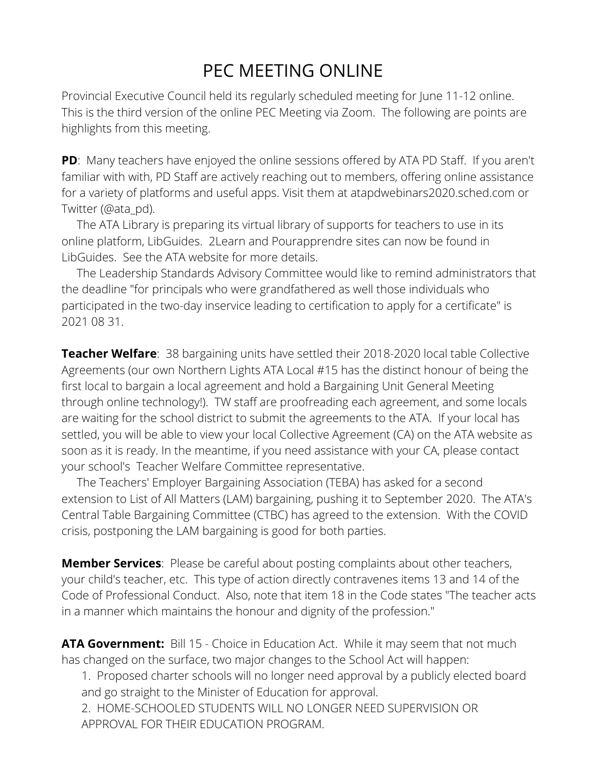## PEC MEETING ONLINE

Provincial Executive Council held its regularly scheduled meeting for June 11-12 online. This is the third version of the online PEC Meeting via Zoom. The following are points are highlights from this meeting.

**PD**: Many teachers have enjoyed the online sessions offered by ATA PD Staff. If you aren't familiar with with, PD Staff are actively reaching out to members, offering online assistance for a variety of platforms and useful apps. Visit them at atapdwebinars2020.sched.com or Twitter (@ata\_pd).

 The ATA Library is preparing its virtual library of supports for teachers to use in its online platform, LibGuides. 2Learn and Pourapprendre sites can now be found in LibGuides. See the ATA website for more details.

 The Leadership Standards Advisory Committee would like to remind administrators that the deadline "for principals who were grandfathered as well those individuals who participated in the two-day inservice leading to certification to apply for a certificate" is 2021 08 31.

**Teacher Welfare**: 38 bargaining units have settled their 2018-2020 local table Collective Agreements (our own Northern Lights ATA Local #15 has the distinct honour of being the first local to bargain a local agreement and hold a Bargaining Unit General Meeting through online technology!). TW staff are proofreading each agreement, and some locals are waiting for the school district to submit the agreements to the ATA. If your local has settled, you will be able to view your local Collective Agreement (CA) on the ATA website as soon as it is ready. In the meantime, if you need assistance with your CA, please contact your school's Teacher Welfare Committee representative.

 The Teachers' Employer Bargaining Association (TEBA) has asked for a second extension to List of All Matters (LAM) bargaining, pushing it to September 2020. The ATA's Central Table Bargaining Committee (CTBC) has agreed to the extension. With the COVID crisis, postponing the LAM bargaining is good for both parties.

**Member Services**: Please be careful about posting complaints about other teachers, your child's teacher, etc. This type of action directly contravenes items 13 and 14 of the Code of Professional Conduct. Also, note that item 18 in the Code states "The teacher acts in a manner which maintains the honour and dignity of the profession."

**ATA Government:** Bill 15 - Choice in Education Act. While it may seem that not much has changed on the surface, two major changes to the School Act will happen:

1. Proposed charter schools will no longer need approval by a publicly elected board and go straight to the Minister of Education for approval.

2. HOME-SCHOOLED STUDENTS WILL NO LONGER NEED SUPERVISION OR APPROVAL FOR THEIR EDUCATION PROGRAM.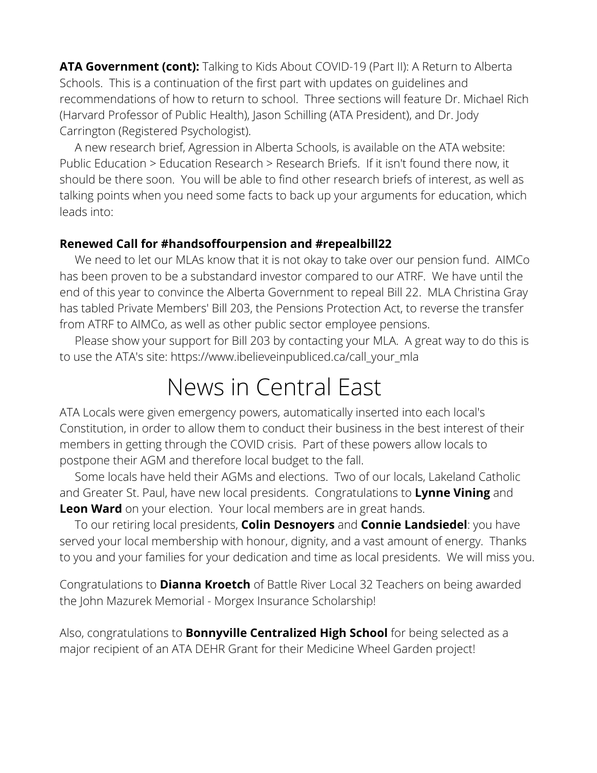**ATA Government (cont):** Talking to Kids About COVID-19 (Part II): A Return to Alberta Schools. This is a continuation of the first part with updates on guidelines and recommendations of how to return to school. Three sections will feature Dr. Michael Rich (Harvard Professor of Public Health), Jason Schilling (ATA President), and Dr. Jody Carrington (Registered Psychologist).

 A new research brief, Agression in Alberta Schools, is available on the ATA website: Public Education > Education Research > Research Briefs. If it isn't found there now, it should be there soon. You will be able to find other research briefs of interest, as well as talking points when you need some facts to back up your arguments for education, which leads into:

#### **Renewed Call for #handsoffourpension and #repealbill22**

 We need to let our MLAs know that it is not okay to take over our pension fund. AIMCo has been proven to be a substandard investor compared to our ATRF. We have until the end of this year to convince the Alberta Government to repeal Bill 22. MLA Christina Gray has tabled Private Members' Bill 203, the Pensions Protection Act, to reverse the transfer from ATRF to AIMCo, as well as other public sector employee pensions.

 Please show your support for Bill 203 by contacting your MLA. A great way to do this is to use the ATA's site: https://www.ibelieveinpubliced.ca/call\_your\_mla

## News in Central East

ATA Locals were given emergency powers, automatically inserted into each local's Constitution, in order to allow them to conduct their business in the best interest of their members in getting through the COVID crisis. Part of these powers allow locals to postpone their AGM and therefore local budget to the fall.

 Some locals have held their AGMs and elections. Two of our locals, Lakeland Catholic and Greater St. Paul, have new local presidents. Congratulations to **Lynne Vining** and **Leon Ward** on your election. Your local members are in great hands.

 To our retiring local presidents, **Colin Desnoyers** and **Connie Landsiedel**: you have served your local membership with honour, dignity, and a vast amount of energy. Thanks to you and your families for your dedication and time as local presidents. We will miss you.

Congratulations to **Dianna Kroetch** of Battle River Local 32 Teachers on being awarded the John Mazurek Memorial - Morgex Insurance Scholarship!

Also, congratulations to **Bonnyville Centralized High School** for being selected as a major recipient of an ATA DEHR Grant for their Medicine Wheel Garden project!